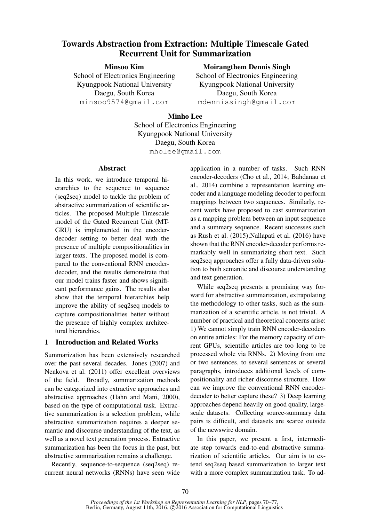# Towards Abstraction from Extraction: Multiple Timescale Gated Recurrent Unit for Summarization

Minsoo Kim School of Electronics Engineering Kyungpook National University Daegu, South Korea minsoo9574@gmail.com

Moirangthem Dennis Singh

School of Electronics Engineering Kyungpook National University Daegu, South Korea mdennissingh@gmail.com

Minho Lee School of Electronics Engineering Kyungpook National University Daegu, South Korea mholee@gmail.com

#### Abstract

In this work, we introduce temporal hierarchies to the sequence to sequence (seq2seq) model to tackle the problem of abstractive summarization of scientific articles. The proposed Multiple Timescale model of the Gated Recurrent Unit (MT-GRU) is implemented in the encoderdecoder setting to better deal with the presence of multiple compositionalities in larger texts. The proposed model is compared to the conventional RNN encoderdecoder, and the results demonstrate that our model trains faster and shows significant performance gains. The results also show that the temporal hierarchies help improve the ability of seq2seq models to capture compositionalities better without the presence of highly complex architectural hierarchies.

# 1 Introduction and Related Works

Summarization has been extensively researched over the past several decades. Jones (2007) and Nenkova et al. (2011) offer excellent overviews of the field. Broadly, summarization methods can be categorized into extractive approaches and abstractive approaches (Hahn and Mani, 2000), based on the type of computational task. Extractive summarization is a selection problem, while abstractive summarization requires a deeper semantic and discourse understanding of the text, as well as a novel text generation process. Extractive summarization has been the focus in the past, but abstractive summarization remains a challenge.

Recently, sequence-to-sequence (seq2seq) recurrent neural networks (RNNs) have seen wide application in a number of tasks. Such RNN encoder-decoders (Cho et al., 2014; Bahdanau et al., 2014) combine a representation learning encoder and a language modeling decoder to perform mappings between two sequences. Similarly, recent works have proposed to cast summarization as a mapping problem between an input sequence and a summary sequence. Recent successes such as Rush et al. (2015);Nallapati et al. (2016) have shown that the RNN encoder-decoder performs remarkably well in summarizing short text. Such seq2seq approaches offer a fully data-driven solution to both semantic and discourse understanding and text generation.

While seq2seq presents a promising way forward for abstractive summarization, extrapolating the methodology to other tasks, such as the summarization of a scientific article, is not trivial. A number of practical and theoretical concerns arise: 1) We cannot simply train RNN encoder-decoders on entire articles: For the memory capacity of current GPUs, scientific articles are too long to be processed whole via RNNs. 2) Moving from one or two sentences, to several sentences or several paragraphs, introduces additional levels of compositionality and richer discourse structure. How can we improve the conventional RNN encoderdecoder to better capture these? 3) Deep learning approaches depend heavily on good quality, largescale datasets. Collecting source-summary data pairs is difficult, and datasets are scarce outside of the newswire domain.

In this paper, we present a first, intermediate step towards end-to-end abstractive summarization of scientific articles. Our aim is to extend seq2seq based summarization to larger text with a more complex summarization task. To ad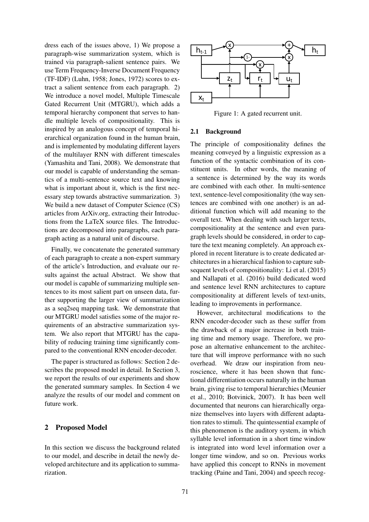dress each of the issues above, 1) We propose a paragraph-wise summarization system, which is trained via paragraph-salient sentence pairs. We use Term Frequency-Inverse Document Frequency (TF-IDF) (Luhn, 1958; Jones, 1972) scores to extract a salient sentence from each paragraph. 2) We introduce a novel model, Multiple Timescale Gated Recurrent Unit (MTGRU), which adds a temporal hierarchy component that serves to handle multiple levels of compositionality. This is inspired by an analogous concept of temporal hierarchical organization found in the human brain, and is implemented by modulating different layers of the multilayer RNN with different timescales (Yamashita and Tani, 2008). We demonstrate that our model is capable of understanding the semantics of a multi-sentence source text and knowing what is important about it, which is the first necessary step towards abstractive summarization. 3) We build a new dataset of Computer Science (CS) articles from ArXiv.org, extracting their Introductions from the LaTeX source files. The Introductions are decomposed into paragraphs, each paragraph acting as a natural unit of discourse.

Finally, we concatenate the generated summary of each paragraph to create a non-expert summary of the article's Introduction, and evaluate our results against the actual Abstract. We show that our model is capable of summarizing multiple sentences to its most salient part on unseen data, further supporting the larger view of summarization as a seq2seq mapping task. We demonstrate that our MTGRU model satisfies some of the major requirements of an abstractive summarization system. We also report that MTGRU has the capability of reducing training time significantly compared to the conventional RNN encoder-decoder.

The paper is structured as follows: Section 2 describes the proposed model in detail. In Section 3, we report the results of our experiments and show the generated summary samples. In Section 4 we analyze the results of our model and comment on future work.

#### 2 Proposed Model

In this section we discuss the background related to our model, and describe in detail the newly developed architecture and its application to summarization.



Figure 1: A gated recurrent unit.

#### 2.1 Background

The principle of compositionality defines the meaning conveyed by a linguistic expression as a function of the syntactic combination of its constituent units. In other words, the meaning of a sentence is determined by the way its words are combined with each other. In multi-sentence text, sentence-level compositionality (the way sentences are combined with one another) is an additional function which will add meaning to the overall text. When dealing with such larger texts, compositionality at the sentence and even paragraph levels should be considered, in order to capture the text meaning completely. An approach explored in recent literature is to create dedicated architectures in a hierarchical fashion to capture subsequent levels of compositionality: Li et al. (2015) and Nallapati et al. (2016) build dedicated word and sentence level RNN architectures to capture compositionality at different levels of text-units, leading to improvements in performance.

However, architectural modifications to the RNN encoder-decoder such as these suffer from the drawback of a major increase in both training time and memory usage. Therefore, we propose an alternative enhancement to the architecture that will improve performance with no such overhead. We draw our inspiration from neuroscience, where it has been shown that functional differentiation occurs naturally in the human brain, giving rise to temporal hierarchies (Meunier et al., 2010; Botvinick, 2007). It has been well documented that neurons can hierarchically organize themselves into layers with different adaptation rates to stimuli. The quintessential example of this phenomenon is the auditory system, in which syllable level information in a short time window is integrated into word level information over a longer time window, and so on. Previous works have applied this concept to RNNs in movement tracking (Paine and Tani, 2004) and speech recog-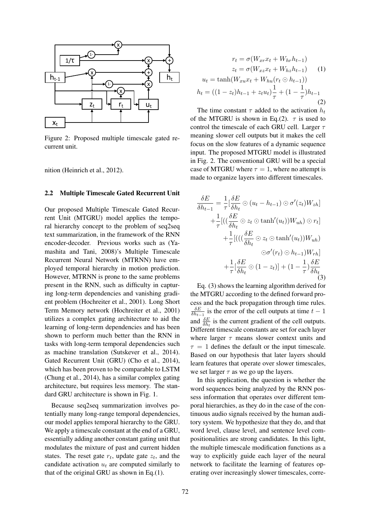

Figure 2: Proposed multiple timescale gated recurrent unit.

nition (Heinrich et al., 2012).

#### 2.2 Multiple Timescale Gated Recurrent Unit

Our proposed Multiple Timescale Gated Recurrent Unit (MTGRU) model applies the temporal hierarchy concept to the problem of seq2seq text summarization, in the framework of the RNN encoder-decoder. Previous works such as (Yamashita and Tani, 2008)'s Multiple Timescale Recurrent Neural Network (MTRNN) have employed temporal hierarchy in motion prediction. However, MTRNN is prone to the same problems present in the RNN, such as difficulty in capturing long-term dependencies and vanishing gradient problem (Hochreiter et al., 2001). Long Short Term Memory network (Hochreiter et al., 2001) utilizes a complex gating architecture to aid the learning of long-term dependencies and has been shown to perform much better than the RNN in tasks with long-term temporal dependencies such as machine translation (Sutskever et al., 2014). Gated Recurrent Unit (GRU) (Cho et al., 2014), which has been proven to be comparable to LSTM (Chung et al., 2014), has a similar complex gating architecture, but requires less memory. The standard GRU architecture is shown in Fig. 1.

Because seq2seq summarization involves potentially many long-range temporal dependencies, our model applies temporal hierarchy to the GRU. We apply a timescale constant at the end of a GRU, essentially adding another constant gating unit that modulates the mixture of past and current hidden states. The reset gate  $r_t$ , update gate  $z_t$ , and the candidate activation  $u_t$  are computed similarly to that of the original GRU as shown in Eq.(1).

$$
r_t = \sigma(W_{xr}x_t + W_{hr}h_{t-1})
$$
  
\n
$$
z_t = \sigma(W_{xz}x_t + W_{hz}h_{t-1})
$$
 (1)  
\n
$$
u_t = \tanh(W_{xu}x_t + W_{hu}(r_t \odot h_{t-1}))
$$
  
\n
$$
h_t = ((1 - z_t)h_{t-1} + z_t u_t)\frac{1}{\tau} + (1 - \frac{1}{\tau})h_{t-1}
$$
 (2)

The time constant  $\tau$  added to the activation  $h_t$ of the MTGRU is shown in Eq.(2).  $\tau$  is used to control the timescale of each GRU cell. Larger  $\tau$ meaning slower cell outputs but it makes the cell focus on the slow features of a dynamic sequence input. The proposed MTGRU model is illustrated in Fig. 2. The conventional GRU will be a special case of MTGRU where  $\tau = 1$ , where no attempt is made to organize layers into different timescales.

$$
\frac{\delta E}{\delta h_{t-1}} = \frac{1}{\tau} \left[ \frac{\delta E}{\delta h_t} \odot (u_t - h_{t-1}) \odot \sigma'(z_t) W_{zh} \right]
$$

$$
+ \frac{1}{\tau} \left[ \left( \left( \frac{\delta E}{\delta h_t} \odot z_t \odot \tanh'(u_t) \right) W_{uh} \right) \odot r_t \right]
$$

$$
+ \frac{1}{\tau} \left[ \left( \left( \frac{\delta E}{\delta h_t} \odot z_t \odot \tanh'(u_t) \right) W_{uh} \right)
$$

$$
\odot \sigma'(r_t) \odot h_{t-1} W_{rh} \right]
$$

$$
+ \frac{1}{\tau} \left[ \frac{\delta E}{\delta h_t} \odot (1 - z_t) \right] + (1 - \frac{1}{\tau}) \frac{\delta E}{\delta h_t}
$$
(3)

Eq. (3) shows the learning algorithm derived for the MTGRU according to the defined forward process and the back propagation through time rules.  $\delta E$  $\frac{\partial E}{\partial h_{t-1}}$  is the error of the cell outputs at time  $t-1$ and  $\frac{\delta E}{\delta h_t}$  is the current gradient of the cell outputs. Different timescale constants are set for each layer where larger  $\tau$  means slower context units and  $\tau = 1$  defines the default or the input timescale. Based on our hypothesis that later layers should learn features that operate over slower timescales, we set larger  $\tau$  as we go up the layers.

In this application, the question is whether the word sequences being analyzed by the RNN possess information that operates over different temporal hierarchies, as they do in the case of the continuous audio signals received by the human auditory system. We hypothesize that they do, and that word level, clause level, and sentence level compositionalities are strong candidates. In this light, the multiple timescale modification functions as a way to explicitly guide each layer of the neural network to facilitate the learning of features operating over increasingly slower timescales, corre-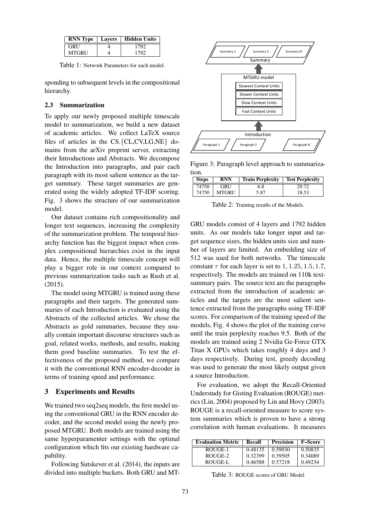| <b>RNN</b> Type | <b>Lavers</b> | Hidden Units |
|-----------------|---------------|--------------|
| <b>GRU</b>      |               | 1792         |
| <b>MTGRU</b>    |               | 1702         |

Table 1: Network Parameters for each model.

sponding to subsequent levels in the compositional hierarchy.

#### 2.3 Summarization

To apply our newly proposed multiple timescale model to summarization, we build a new dataset of academic articles. We collect LaTeX source files of articles in the CS.{CL,CV,LG,NE} domains from the arXiv preprint server, extracting their Introductions and Abstracts. We decompose the Introduction into paragraphs, and pair each paragraph with its most salient sentence as the target summary. These target summaries are generated using the widely adopted TF-IDF scoring. Fig. 3 shows the structure of our summarization model.

Our dataset contains rich compositionality and longer text sequences, increasing the complexity of the summarization problem. The temporal hierarchy function has the biggest impact when complex compositional hierarchies exist in the input data. Hence, the multiple timescale concept will play a bigger role in our context compared to previous summarization tasks such as Rush et al. (2015).

The model using MTGRU is trained using these paragraphs and their targets. The generated summaries of each Introduction is evaluated using the Abstracts of the collected articles. We chose the Abstracts as gold summaries, because they usually contain important discourse structures such as goal, related works, methods, and results, making them good baseline summaries. To test the effectiveness of the proposed method, we compare it with the conventional RNN encoder-decoder in terms of training speed and performance.

#### 3 Experiments and Results

We trained two seq2seq models, the first model using the conventional GRU in the RNN encoder decoder, and the second model using the newly proposed MTGRU. Both models are trained using the same hyperparamenter settings with the optimal configuration which fits our existing hardware capability.

Following Sutskever et al. (2014), the inputs are divided into multiple buckets. Both GRU and MT-



Figure 3: Paragraph level approach to summarization.

| <b>Steps</b> | <b>RNN</b> | <b>Train Perplexity</b> | <b>Test Perplexity</b> |
|--------------|------------|-------------------------|------------------------|
| 74750        | GRU        | 6.8                     | 29.72                  |
| 74750        | MTGRU      | 5.87                    | 18.53                  |

Table 2: Training results of the Models.

GRU models consist of 4 layers and 1792 hidden units. As our models take longer input and target sequence sizes, the hidden units size and number of layers are limited. An embedding size of 512 was used for both networks. The timescale constant  $\tau$  for each layer is set to 1, 1.25, 1.5, 1.7, respectively. The models are trained on 110k textsummary pairs. The source text are the paragraphs extracted from the introduction of academic articles and the targets are the most salient sentence extracted from the paragraphs using TF-IDF scores. For comparison of the training speed of the models, Fig. 4 shows the plot of the training curve until the train perplexity reaches 9.5. Both of the models are trained using 2 Nvidia Ge-Force GTX Titan X GPUs which takes roughly 4 days and 3 days respectively. During test, greedy decoding was used to generate the most likely output given a source Introduction.

For evaluation, we adopt the Recall-Oriented Understudy for Gisting Evaluation (ROUGE) metrics (Lin, 2004) proposed by Lin and Hovy (2003). ROUGE is a recall-oriented measure to score system summaries which is proven to have a strong correlation with human evaluations. It measures

| <b>Evaluation Metric</b> | Recall  | Precision | <b>F–Score</b> |
|--------------------------|---------|-----------|----------------|
| ROUGE-1                  | 0.48135 | 0.59030   | 0.50835        |
| ROUGE-2                  | 0.32399 | 0.39505   | 0.34089        |
| ROUGE-L                  | 0.46588 | 0.57218   | 0.49234        |

Table 3: ROUGE scores of GRU Model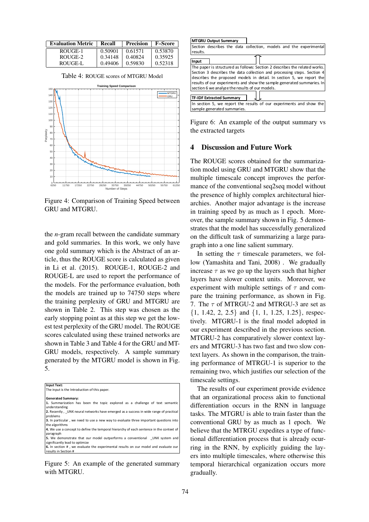| <b>Evaluation Metric</b> | Recall  | <b>Precision</b> | F–Score |
|--------------------------|---------|------------------|---------|
| ROUGE-1                  | 0.50901 | 0.61571          | 0.53870 |
| ROUGE-2                  | 0.34148 | 0.40824          | 0.35925 |
| ROUGE-L                  | 0.49406 | 0.59830          | 0.52318 |

Table 4: ROUGE scores of MTGRU Model



Figure 4: Comparison of Training Speed between GRU and MTGRU.

the *n*-gram recall between the candidate summary and gold summaries. In this work, we only have one gold summary which is the Abstract of an article, thus the ROUGE score is calculated as given in Li et al. (2015). ROUGE-1, ROUGE-2 and ROUGE-L are used to report the performance of the models. For the performance evaluation, both the models are trained up to 74750 steps where the training perplexity of GRU and MTGRU are shown in Table 2. This step was chosen as the early stopping point as at this step we get the lowest test perplexity of the GRU model. The ROUGE scores calculated using these trained networks are shown in Table 3 and Table 4 for the GRU and MT-GRU models, respectively. A sample summary generated by the MTGRU model is shown in Fig. 5.

| Input Text:                                                                             |
|-----------------------------------------------------------------------------------------|
| The input is the Introduction of this paper.                                            |
|                                                                                         |
| <b>Generated Summary:</b>                                                               |
| 1. Summarization has been the topic explored as a challenge of text semantic            |
| understanding                                                                           |
| 2. Recently, UNK neural networks have emerged as a success in wide range of practical   |
| problems                                                                                |
| 3. In particular, we need to use a new way to evaluate three important questions into   |
| the algorithms                                                                          |
| 4. We use a concept to define the temporal hierarchy of each sentence in the context of |
| paragraph                                                                               |
| 5. We demonstrate that our model outperforms a conventional UNK system and              |
| significantly lead to optimize                                                          |
| 6. In section #, we evaluate the experimental results on our model and evaluate our     |
| results in Section #                                                                    |

Figure 5: An example of the generated summary with MTGRU.

|          | <b>MTGRU Output Summary</b>                                                |
|----------|----------------------------------------------------------------------------|
|          | Section describes the data collection, models and the experimental         |
| results. |                                                                            |
| Input    |                                                                            |
|          | The paper is structured as follows: Section 2 describes the related works. |
|          | Section 3 describes the data collection and processing steps. Section 4    |
|          | describes the proposed models in detail. In section 5, we report the       |
|          | results of our experiments and show the sample generated summaries. In     |
|          | section 6 we analyze the results of our models.                            |
|          |                                                                            |
|          | <b>TF-IDF Extracted Summary</b>                                            |
|          | In section 5, we report the results of our experiments and show the        |
|          | sample generated summaries.                                                |

Figure 6: An example of the output summary vs the extracted targets

# 4 Discussion and Future Work

The ROUGE scores obtained for the summarization model using GRU and MTGRU show that the multiple timescale concept improves the performance of the conventional seq2seq model without the presence of highly complex architectural hierarchies. Another major advantage is the increase in training speed by as much as 1 epoch. Moreover, the sample summary shown in Fig. 5 demonstrates that the model has successfully generalized on the difficult task of summarizing a large paragraph into a one line salient summary.

In setting the  $\tau$  timescale parameters, we follow (Yamashita and Tani, 2008) . We gradually increase  $\tau$  as we go up the layers such that higher layers have slower context units. Moreover, we experiment with multiple settings of  $\tau$  and compare the training performance, as shown in Fig. 7. The  $\tau$  of MTRGU-2 and MTRGU-3 are set as {1, 1.42, 2, 2.5} and {1, 1, 1.25, 1.25}, respectively. MTGRU-1 is the final model adopted in our experiment described in the previous section. MTGRU-2 has comparatively slower context layers and MTGRU-3 has two fast and two slow context layers. As shown in the comparison, the training performance of MTRGU-1 is superior to the remaining two, which justifies our selection of the timescale settings.

The results of our experiment provide evidence that an organizational process akin to functional differentiation occurs in the RNN in language tasks. The MTGRU is able to train faster than the conventional GRU by as much as 1 epoch. We believe that the MTRGU expedites a type of functional differentiation process that is already ocurring in the RNN, by explicitly guiding the layers into multiple timescales, where otherwise this temporal hierarchical organization occurs more gradually.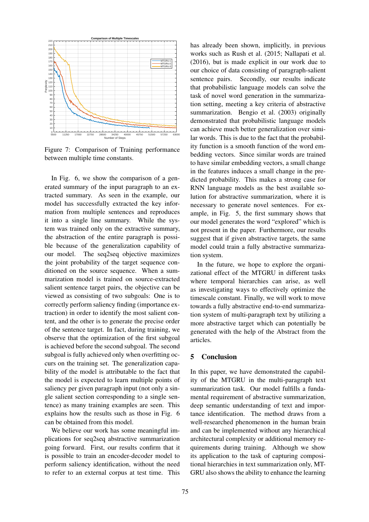

Figure 7: Comparison of Training performance between multiple time constants.

In Fig. 6, we show the comparison of a generated summary of the input paragraph to an extracted summary. As seen in the example, our model has successfully extracted the key information from multiple sentences and reproduces it into a single line summary. While the system was trained only on the extractive summary, the abstraction of the entire paragraph is possible because of the generalization capability of our model. The seq2seq objective maximizes the joint probability of the target sequence conditioned on the source sequence. When a summarization model is trained on source-extracted salient sentence target pairs, the objective can be viewed as consisting of two subgoals: One is to correctly perform saliency finding (importance extraction) in order to identify the most salient content, and the other is to generate the precise order of the sentence target. In fact, during training, we observe that the optimization of the first subgoal is achieved before the second subgoal. The second subgoal is fully achieved only when overfitting occurs on the training set. The generalization capability of the model is attributable to the fact that the model is expected to learn multiple points of saliency per given paragraph input (not only a single salient section corresponding to a single sentence) as many training examples are seen. This explains how the results such as those in Fig. 6 can be obtained from this model.

We believe our work has some meaningful implications for seq2seq abstractive summarization going forward. First, our results confirm that it is possible to train an encoder-decoder model to perform saliency identification, without the need to refer to an external corpus at test time. This has already been shown, implicitly, in previous works such as Rush et al. (2015; Nallapati et al. (2016), but is made explicit in our work due to our choice of data consisting of paragraph-salient sentence pairs. Secondly, our results indicate that probabilistic language models can solve the task of novel word generation in the summarization setting, meeting a key criteria of abstractive summarization. Bengio et al. (2003) originally demonstrated that probabilistic language models can achieve much better generalization over similar words. This is due to the fact that the probability function is a smooth function of the word embedding vectors. Since similar words are trained to have similar embedding vectors, a small change in the features induces a small change in the predicted probability. This makes a strong case for RNN language models as the best available solution for abstractive summarization, where it is necessary to generate novel sentences. For example, in Fig. 5, the first summary shows that our model generates the word "explored" which is not present in the paper. Furthermore, our results suggest that if given abstractive targets, the same model could train a fully abstractive summarization system.

In the future, we hope to explore the organizational effect of the MTGRU in different tasks where temporal hierarchies can arise, as well as investigating ways to effectively optimize the timescale constant. Finally, we will work to move towards a fully abstractive end-to-end summarization system of multi-paragraph text by utilizing a more abstractive target which can potentially be generated with the help of the Abstract from the articles.

### 5 Conclusion

In this paper, we have demonstrated the capability of the MTGRU in the multi-paragraph text summarization task. Our model fulfills a fundamental requirement of abstractive summarization, deep semantic understanding of text and importance identification. The method draws from a well-researched phenomenon in the human brain and can be implemented without any hierarchical architectural complexity or additional memory requirements during training. Although we show its application to the task of capturing compositional hierarchies in text summarization only, MT-GRU also shows the ability to enhance the learning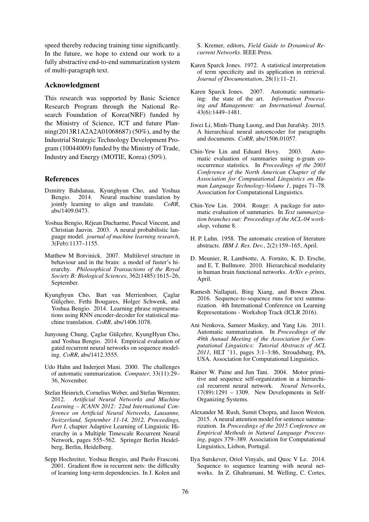speed thereby reducing training time significantly. In the future, we hope to extend our work to a fully abstractive end-to-end summarization system of multi-paragraph text.

#### Acknowledgment

This research was supported by Basic Science Research Program through the National Research Foundation of Korea(NRF) funded by the Ministry of Science, ICT and future Planning(2013R1A2A2A01068687) (50%), and by the Industrial Strategic Technology Development Program (10044009) funded by the Ministry of Trade, Industry and Energy (MOTIE, Korea) (50%).

#### References

- Dzmitry Bahdanau, Kyunghyun Cho, and Yoshua Bengio.  $2014$ . Neural machine translation by iointly learning to align and translate.  $CoRR$ . jointly learning to align and translate. abs/1409.0473.
- Yoshua Bengio, Rejean Ducharme, Pascal Vincent, and ´ Christian Jauvin. 2003. A neural probabilistic language model. *journal of machine learning research*, 3(Feb):1137–1155.
- Matthew M Botvinick. 2007. Multilevel structure in behaviour and in the brain: a model of fuster's hierarchy. *Philosophical Transactions of the Royal Society B: Biological Sciences*, 362(1485):1615–26, September.
- Kyunghyun Cho, Bart van Merrienboer, Çaglar Gülçehre, Fethi Bougares, Holger Schwenk, and Yoshua Bengio. 2014. Learning phrase representations using RNN encoder-decoder for statistical machine translation. *CoRR*, abs/1406.1078.
- Junyoung Chung, Çaglar Gülçehre, KyungHyun Cho, and Yoshua Bengio. 2014. Empirical evaluation of gated recurrent neural networks on sequence modeling. *CoRR*, abs/1412.3555.
- Udo Hahn and Inderjeet Mani. 2000. The challenges of automatic summarization. *Computer*, 33(11):29– 36, November.
- Stefan Heinrich, Cornelius Weber, and Stefan Wermter, 2012. *Artificial Neural Networks and Machine Learning – ICANN 2012: 22nd International Conference on Artificial Neural Networks, Lausanne, Switzerland, September 11-14, 2012, Proceedings,* Part I, chapter Adaptive Learning of Linguistic Hierarchy in a Multiple Timescale Recurrent Neural Network, pages 555–562. Springer Berlin Heidelberg, Berlin, Heidelberg.
- Sepp Hochreiter, Yoshua Bengio, and Paolo Frasconi. 2001. Gradient flow in recurrent nets: the difficulty of learning long-term dependencies. In J. Kolen and

S. Kremer, editors, *Field Guide to Dynamical Recurrent Networks*. IEEE Press.

- Karen Sparck Jones. 1972. A statistical interpretation of term specificity and its application in retrieval. *Journal of Documentation*, 28(1):11–21.
- Karen Sparck Jones. 2007. Automatic summarising: the state of the art. *Information Processing and Management: an International Journal*, 43(6):1449–1481.
- Jiwei Li, Minh-Thang Luong, and Dan Jurafsky. 2015. A hierarchical neural autoencoder for paragraphs and documents. *CoRR*, abs/1506.01057.
- Chin-Yew Lin and Eduard Hovy. 2003. Automatic evaluation of summaries using n-gram cooccurrence statistics. In *Proceedings of the 2003 Conference of the North American Chapter of the Association for Computational Linguistics on Human Language Technology-Volume 1*, pages 71–78. Association for Computational Linguistics.
- Chin-Yew Lin. 2004. Rouge: A package for automatic evaluation of summaries. In *Text summarization branches out: Proceedings of the ACL-04 workshop*, volume 8.
- H. P. Luhn. 1958. The automatic creation of literature abstracts. *IBM J. Res. Dev.*, 2(2):159–165, April.
- D. Meunier, R. Lambiotte, A. Fornito, K. D. Ersche, and E. T. Bullmore. 2010. Hierarchical modularity in human brain functional networks. *ArXiv e-prints*, April.
- Ramesh Nallapati, Bing Xiang, and Bowen Zhou. 2016. Sequence-to-sequence rnns for text summarization. 4th International Conference on Learning Representations - Workshop Track (ICLR 2016).
- Ani Nenkova, Sameer Maskey, and Yang Liu. 2011. Automatic summarization. In *Proceedings of the 49th Annual Meeting of the Association for Computational Linguistics: Tutorial Abstracts of ACL 2011*, HLT '11, pages 3:1–3:86, Stroudsburg, PA, USA. Association for Computational Linguistics.
- Rainer W. Paine and Jun Tani. 2004. Motor primitive and sequence self-organization in a hierarchical recurrent neural network. *Neural Networks*, 17(89):1291 – 1309. New Developments in Self-Organizing Systems.
- Alexander M. Rush, Sumit Chopra, and Jason Weston. 2015. A neural attention model for sentence summarization. In *Proceedings of the 2015 Conference on Empirical Methods in Natural Language Processing*, pages 379–389. Association for Computational Linguistics, Lisbon, Portugal.
- Ilya Sutskever, Oriol Vinyals, and Quoc V Le. 2014. Sequence to sequence learning with neural networks. In Z. Ghahramani, M. Welling, C. Cortes,